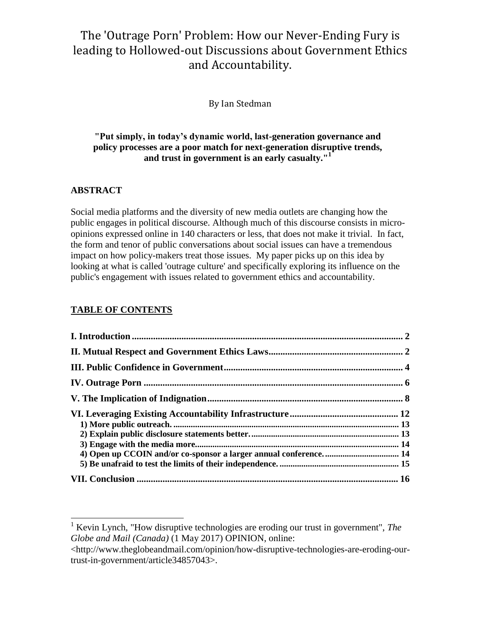# The 'Outrage Porn' Problem: How our Never-Ending Fury is leading to Hollowed-out Discussions about Government Ethics and Accountability.

By Ian Stedman

#### **"Put simply, in today's dynamic world, last-generation governance and policy processes are a poor match for next-generation disruptive trends, and trust in government is an early casualty."<sup>1</sup>**

### **ABSTRACT**

 $\overline{a}$ 

Social media platforms and the diversity of new media outlets are changing how the public engages in political discourse. Although much of this discourse consists in microopinions expressed online in 140 characters or less, that does not make it trivial. In fact, the form and tenor of public conversations about social issues can have a tremendous impact on how policy-makers treat those issues. My paper picks up on this idea by looking at what is called 'outrage culture' and specifically exploring its influence on the public's engagement with issues related to government ethics and accountability.

#### **TABLE OF CONTENTS**

<sup>1</sup> Kevin Lynch, "How disruptive technologies are eroding our trust in government", *The Globe and Mail (Canada)* (1 May 2017) OPINION, online:

<sup>&</sup>lt;http://www.theglobeandmail.com/opinion/how-disruptive-technologies-are-eroding-ourtrust-in-government/article34857043>.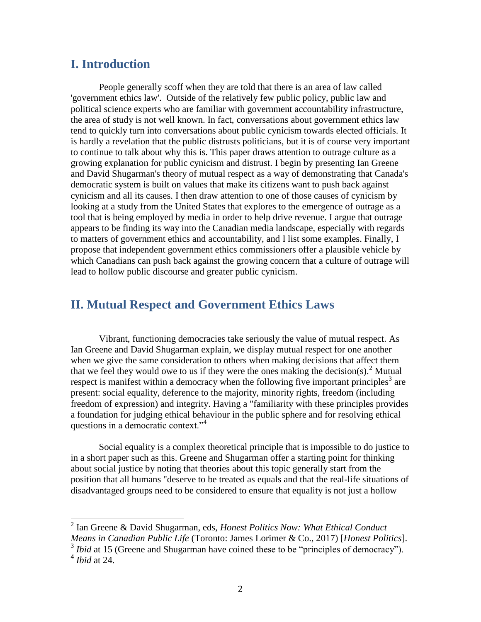### **I. Introduction**

People generally scoff when they are told that there is an area of law called 'government ethics law'. Outside of the relatively few public policy, public law and political science experts who are familiar with government accountability infrastructure, the area of study is not well known. In fact, conversations about government ethics law tend to quickly turn into conversations about public cynicism towards elected officials. It is hardly a revelation that the public distrusts politicians, but it is of course very important to continue to talk about why this is. This paper draws attention to outrage culture as a growing explanation for public cynicism and distrust. I begin by presenting Ian Greene and David Shugarman's theory of mutual respect as a way of demonstrating that Canada's democratic system is built on values that make its citizens want to push back against cynicism and all its causes. I then draw attention to one of those causes of cynicism by looking at a study from the United States that explores to the emergence of outrage as a tool that is being employed by media in order to help drive revenue. I argue that outrage appears to be finding its way into the Canadian media landscape, especially with regards to matters of government ethics and accountability, and I list some examples. Finally, I propose that independent government ethics commissioners offer a plausible vehicle by which Canadians can push back against the growing concern that a culture of outrage will lead to hollow public discourse and greater public cynicism.

## **II. Mutual Respect and Government Ethics Laws**

<span id="page-1-0"></span>Vibrant, functioning democracies take seriously the value of mutual respect. As Ian Greene and David Shugarman explain, we display mutual respect for one another when we give the same consideration to others when making decisions that affect them that we feel they would owe to us if they were the ones making the decision(s).<sup>2</sup> Mutual respect is manifest within a democracy when the following five important principles<sup>3</sup> are present: social equality, deference to the majority, minority rights, freedom (including freedom of expression) and integrity. Having a "familiarity with these principles provides a foundation for judging ethical behaviour in the public sphere and for resolving ethical questions in a democratic context."<sup>4</sup>

Social equality is a complex theoretical principle that is impossible to do justice to in a short paper such as this. Greene and Shugarman offer a starting point for thinking about social justice by noting that theories about this topic generally start from the position that all humans "deserve to be treated as equals and that the real-life situations of disadvantaged groups need to be considered to ensure that equality is not just a hollow

<sup>2</sup> Ian Greene & David Shugarman, eds, *Honest Politics Now: What Ethical Conduct Means in Canadian Public Life* (Toronto: James Lorimer & Co., 2017) [*Honest Politics*].

<sup>&</sup>lt;sup>3</sup> *Ibid* at 15 (Greene and Shugarman have coined these to be "principles of democracy").

<sup>4</sup> *Ibid* at 24.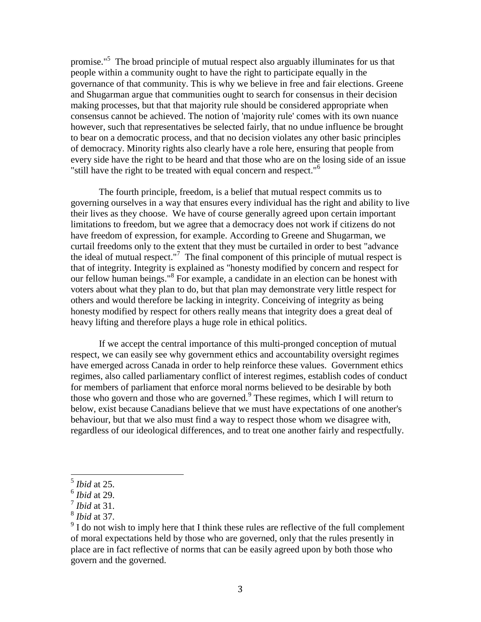promise."<sup>5</sup> The broad principle of mutual respect also arguably illuminates for us that people within a community ought to have the right to participate equally in the governance of that community. This is why we believe in free and fair elections. Greene and Shugarman argue that communities ought to search for consensus in their decision making processes, but that that majority rule should be considered appropriate when consensus cannot be achieved. The notion of 'majority rule' comes with its own nuance however, such that representatives be selected fairly, that no undue influence be brought to bear on a democratic process, and that no decision violates any other basic principles of democracy. Minority rights also clearly have a role here, ensuring that people from every side have the right to be heard and that those who are on the losing side of an issue "still have the right to be treated with equal concern and respect."<sup>6</sup>

The fourth principle, freedom, is a belief that mutual respect commits us to governing ourselves in a way that ensures every individual has the right and ability to live their lives as they choose. We have of course generally agreed upon certain important limitations to freedom, but we agree that a democracy does not work if citizens do not have freedom of expression, for example. According to Greene and Shugarman, we curtail freedoms only to the extent that they must be curtailed in order to best "advance the ideal of mutual respect."<sup>7</sup> The final component of this principle of mutual respect is that of integrity. Integrity is explained as "honesty modified by concern and respect for our fellow human beings."<sup>8</sup> For example, a candidate in an election can be honest with voters about what they plan to do, but that plan may demonstrate very little respect for others and would therefore be lacking in integrity. Conceiving of integrity as being honesty modified by respect for others really means that integrity does a great deal of heavy lifting and therefore plays a huge role in ethical politics.

If we accept the central importance of this multi-pronged conception of mutual respect, we can easily see why government ethics and accountability oversight regimes have emerged across Canada in order to help reinforce these values. Government ethics regimes, also called parliamentary conflict of interest regimes, establish codes of conduct for members of parliament that enforce moral norms believed to be desirable by both those who govern and those who are governed.<sup>9</sup> These regimes, which I will return to below, exist because Canadians believe that we must have expectations of one another's behaviour, but that we also must find a way to respect those whom we disagree with, regardless of our ideological differences, and to treat one another fairly and respectfully.

 5 *Ibid* at 25.

<sup>6</sup> *Ibid* at 29.

<sup>7</sup> *Ibid* at 31.

<sup>8</sup> *Ibid* at 37.

 $9<sup>9</sup>$  I do not wish to imply here that I think these rules are reflective of the full complement of moral expectations held by those who are governed, only that the rules presently in place are in fact reflective of norms that can be easily agreed upon by both those who govern and the governed.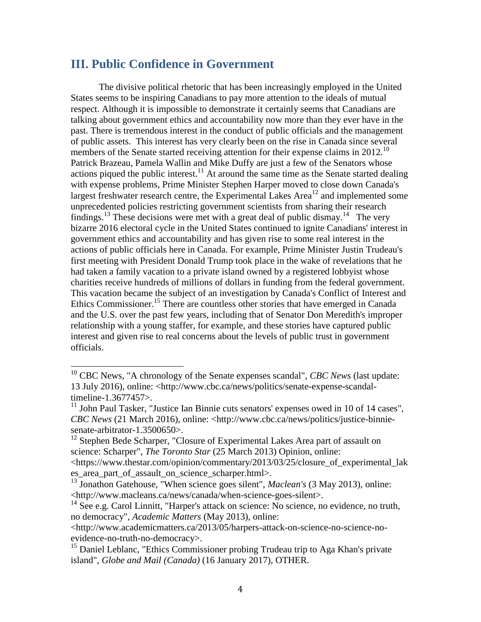### **III. Public Confidence in Government**

The divisive political rhetoric that has been increasingly employed in the United States seems to be inspiring Canadians to pay more attention to the ideals of mutual respect. Although it is impossible to demonstrate it certainly seems that Canadians are talking about government ethics and accountability now more than they ever have in the past. There is tremendous interest in the conduct of public officials and the management of public assets. This interest has very clearly been on the rise in Canada since several members of the Senate started receiving attention for their expense claims in 2012.<sup>10</sup> Patrick Brazeau, Pamela Wallin and Mike Duffy are just a few of the Senators whose actions piqued the public interest.<sup>11</sup> At around the same time as the Senate started dealing with expense problems, Prime Minister Stephen Harper moved to close down Canada's largest freshwater research centre, the Experimental Lakes Area<sup>12</sup> and implemented some unprecedented policies restricting government scientists from sharing their research findings.<sup>13</sup> These decisions were met with a great deal of public dismay.<sup>14</sup> The very bizarre 2016 electoral cycle in the United States continued to ignite Canadians' interest in government ethics and accountability and has given rise to some real interest in the actions of public officials here in Canada. For example, Prime Minister Justin Trudeau's first meeting with President Donald Trump took place in the wake of revelations that he had taken a family vacation to a private island owned by a registered lobbyist whose charities receive hundreds of millions of dollars in funding from the federal government. This vacation became the subject of an investigation by Canada's Conflict of Interest and Ethics Commissioner.<sup>15</sup> There are countless other stories that have emerged in Canada and the U.S. over the past few years, including that of Senator Don Meredith's improper relationship with a young staffer, for example, and these stories have captured public interest and given rise to real concerns about the levels of public trust in government officials.

es area part of assault on science scharper.html>.

l

<sup>&</sup>lt;sup>10</sup> CBC News, "A chronology of the Senate expenses scandal", *CBC News* (last update: 13 July 2016), online: <http://www.cbc.ca/news/politics/senate-expense-scandaltimeline-1.3677457>.

 $11$  John Paul Tasker, "Justice Ian Binnie cuts senators' expenses owed in 10 of 14 cases". *CBC News* (21 March 2016), online: <http://www.cbc.ca/news/politics/justice-binniesenate-arbitrator-1.3500650>.

<sup>&</sup>lt;sup>12</sup> Stephen Bede Scharper, "Closure of Experimental Lakes Area part of assault on science: Scharper", *The Toronto Star* (25 March 2013) Opinion, online: <https://www.thestar.com/opinion/commentary/2013/03/25/closure\_of\_experimental\_lak

<sup>&</sup>lt;sup>13</sup> Jonathon Gatehouse, "When science goes silent", *Maclean's* (3 May 2013), online: <http://www.macleans.ca/news/canada/when-science-goes-silent>.

 $14$  See e.g. Carol Linnitt, "Harper's attack on science: No science, no evidence, no truth, no democracy", *Academic Matters* (May 2013), online:

<sup>&</sup>lt;http://www.academicmatters.ca/2013/05/harpers-attack-on-science-no-science-noevidence-no-truth-no-democracy>.

<sup>&</sup>lt;sup>15</sup> Daniel Leblanc, "Ethics Commissioner probing Trudeau trip to Aga Khan's private island", *Globe and Mail (Canada)* (16 January 2017), OTHER.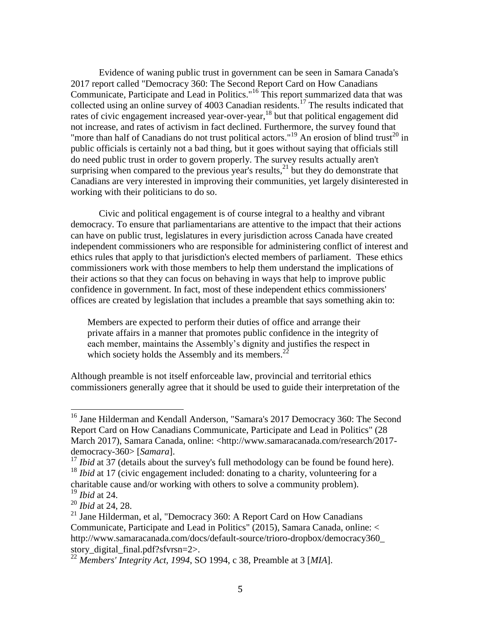<span id="page-4-0"></span>Evidence of waning public trust in government can be seen in Samara Canada's 2017 report called "Democracy 360: The Second Report Card on How Canadians Communicate, Participate and Lead in Politics."<sup>16</sup> This report summarized data that was collected using an online survey of 4003 Canadian residents.<sup>17</sup> The results indicated that rates of civic engagement increased year-over-year,<sup>18</sup> but that political engagement did not increase, and rates of activism in fact declined. Furthermore, the survey found that "more than half of Canadians do not trust political actors."<sup>19</sup> An erosion of blind trust<sup>20</sup> in public officials is certainly not a bad thing, but it goes without saying that officials still do need public trust in order to govern properly. The survey results actually aren't surprising when compared to the previous year's results, $^{21}$  but they do demonstrate that Canadians are very interested in improving their communities, yet largely disinterested in working with their politicians to do so.

Civic and political engagement is of course integral to a healthy and vibrant democracy. To ensure that parliamentarians are attentive to the impact that their actions can have on public trust, legislatures in every jurisdiction across Canada have created independent commissioners who are responsible for administering conflict of interest and ethics rules that apply to that jurisdiction's elected members of parliament. These ethics commissioners work with those members to help them understand the implications of their actions so that they can focus on behaving in ways that help to improve public confidence in government. In fact, most of these independent ethics commissioners' offices are created by legislation that includes a preamble that says something akin to:

<span id="page-4-1"></span>Members are expected to perform their duties of office and arrange their private affairs in a manner that promotes public confidence in the integrity of each member, maintains the Assembly's dignity and justifies the respect in which society holds the Assembly and its members. $^{22}$ 

Although preamble is not itself enforceable law, provincial and territorial ethics commissioners generally agree that it should be used to guide their interpretation of the

<sup>&</sup>lt;sup>16</sup> Jane Hilderman and Kendall Anderson, "Samara's 2017 Democracy 360: The Second Report Card on How Canadians Communicate, Participate and Lead in Politics" (28 March 2017), Samara Canada, online: <http://www.samaracanada.com/research/2017 democracy-360> [*Samara*].

<sup>&</sup>lt;sup>17</sup> *Ibid* at 37 (details about the survey's full methodology can be found be found here).

<sup>18</sup> *Ibid* at 17 (civic engagement included: donating to a charity, volunteering for a charitable cause and/or working with others to solve a community problem).

<sup>19</sup> *Ibid* at 24.

<sup>20</sup> *Ibid* at 24, 28.

<sup>&</sup>lt;sup>21</sup> Jane Hilderman, et al, "Democracy 360: A Report Card on How Canadians Communicate, Participate and Lead in Politics" (2015), Samara Canada, online: < http://www.samaracanada.com/docs/default-source/trioro-dropbox/democracy360\_ story digital final.pdf?sfvrsn=2>.

<sup>22</sup> *Members' Integrity Act, 1994*, SO 1994, c 38, Preamble at 3 [*MIA*].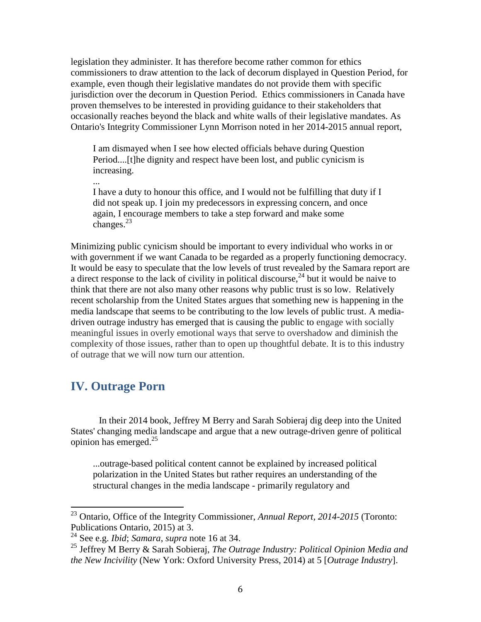legislation they administer. It has therefore become rather common for ethics commissioners to draw attention to the lack of decorum displayed in Question Period, for example, even though their legislative mandates do not provide them with specific jurisdiction over the decorum in Question Period. Ethics commissioners in Canada have proven themselves to be interested in providing guidance to their stakeholders that occasionally reaches beyond the black and white walls of their legislative mandates. As Ontario's Integrity Commissioner Lynn Morrison noted in her 2014-2015 annual report,

I am dismayed when I see how elected officials behave during Question Period....[t]he dignity and respect have been lost, and public cynicism is increasing.

I have a duty to honour this office, and I would not be fulfilling that duty if I did not speak up. I join my predecessors in expressing concern, and once again, I encourage members to take a step forward and make some changes. $^{23}$ 

Minimizing public cynicism should be important to every individual who works in or with government if we want Canada to be regarded as a properly functioning democracy. It would be easy to speculate that the low levels of trust revealed by the Samara report are a direct response to the lack of civility in political discourse,  $^{24}$  but it would be naive to think that there are not also many other reasons why public trust is so low. Relatively recent scholarship from the United States argues that something new is happening in the media landscape that seems to be contributing to the low levels of public trust. A mediadriven outrage industry has emerged that is causing the public to engage with socially meaningful issues in overly emotional ways that serve to overshadow and diminish the complexity of those issues, rather than to open up thoughtful debate. It is to this industry of outrage that we will now turn our attention.

## **IV. Outrage Porn**

 $\overline{a}$ 

...

In their 2014 book, Jeffrey M Berry and Sarah Sobieraj dig deep into the United States' changing media landscape and argue that a new outrage-driven genre of political opinion has emerged.<sup>25</sup>

<span id="page-5-0"></span>...outrage-based political content cannot be explained by increased political polarization in the United States but rather requires an understanding of the structural changes in the media landscape - primarily regulatory and

<sup>23</sup> Ontario, Office of the Integrity Commissioner, *Annual Report, 2014-2015* (Toronto: Publications Ontario, 2015) at 3.

<sup>24</sup> See e.g. *Ibid*; *Samara*, *supra* note [16](#page-4-0) at 34.

<sup>25</sup> Jeffrey M Berry & Sarah Sobieraj, *The Outrage Industry: Political Opinion Media and the New Incivility* (New York: Oxford University Press, 2014) at 5 [*Outrage Industry*].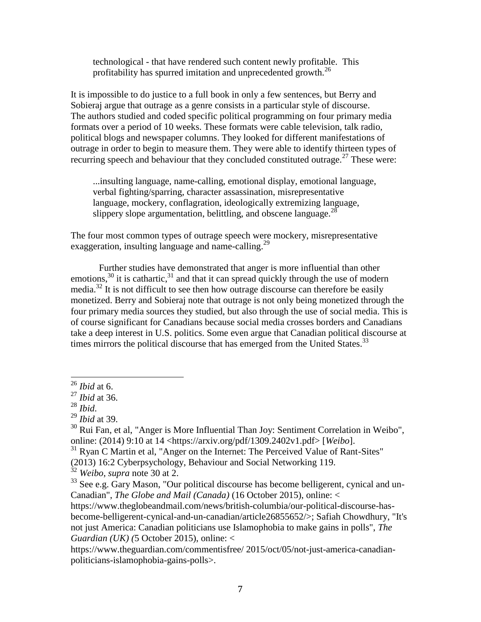technological - that have rendered such content newly profitable. This profitability has spurred imitation and unprecedented growth.<sup>26</sup>

It is impossible to do justice to a full book in only a few sentences, but Berry and Sobieraj argue that outrage as a genre consists in a particular style of discourse. The authors studied and coded specific political programming on four primary media formats over a period of 10 weeks. These formats were cable television, talk radio, political blogs and newspaper columns. They looked for different manifestations of outrage in order to begin to measure them. They were able to identify thirteen types of recurring speech and behaviour that they concluded constituted outrage.<sup>27</sup> These were:

...insulting language, name-calling, emotional display, emotional language, verbal fighting/sparring, character assassination, misrepresentative language, mockery, conflagration, ideologically extremizing language, slippery slope argumentation, belittling, and obscene language.<sup>28</sup>

The four most common types of outrage speech were mockery, misrepresentative exaggeration, insulting language and name-calling.<sup>29</sup>

<span id="page-6-0"></span>Further studies have demonstrated that anger is more influential than other emotions,<sup>30</sup> it is cathartic,<sup>31</sup> and that it can spread quickly through the use of modern media.<sup>32</sup> It is not difficult to see then how outrage discourse can therefore be easily monetized. Berry and Sobieraj note that outrage is not only being monetized through the four primary media sources they studied, but also through the use of social media. This is of course significant for Canadians because social media crosses borders and Canadians take a deep interest in U.S. politics. Some even argue that Canadian political discourse at times mirrors the political discourse that has emerged from the United States.<sup>33</sup>

<sup>26</sup> *Ibid* at 6.

<sup>27</sup> *Ibid* at 36.

<sup>28</sup> *Ibid*.

<sup>29</sup> *Ibid* at 39.

 $30$  Rui Fan, et al, "Anger is More Influential Than Joy: Sentiment Correlation in Weibo", online: (2014) 9:10 at 14 <https://arxiv.org/pdf/1309.2402v1.pdf> [*Weibo*].

 $31$  Ryan C Martin et al, "Anger on the Internet: The Perceived Value of Rant-Sites"

<sup>(2013) 16:2</sup> Cyberpsychology, Behaviour and Social Networking 119.

<sup>32</sup> *Weibo*, *supra* note [30](#page-6-0) at 2.

 $33$  See e.g. Gary Mason, "Our political discourse has become belligerent, cynical and un-Canadian", *The Globe and Mail (Canada)* (16 October 2015), online: <

https://www.theglobeandmail.com/news/british-columbia/our-political-discourse-hasbecome-belligerent-cynical-and-un-canadian/article26855652/>; Safiah Chowdhury, "It's not just America: Canadian politicians use Islamophobia to make gains in polls", *The Guardian (UK) (*5 October 2015), online: <

https://www.theguardian.com/commentisfree/ 2015/oct/05/not-just-america-canadianpoliticians-islamophobia-gains-polls>.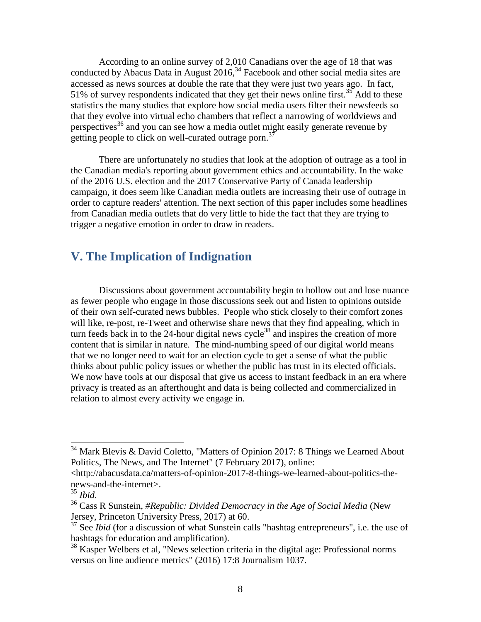According to an online survey of 2,010 Canadians over the age of 18 that was conducted by Abacus Data in August 2016, <sup>34</sup> Facebook and other social media sites are accessed as news sources at double the rate that they were just two years ago. In fact, 51% of survey respondents indicated that they get their news online first.<sup>35</sup> Add to these statistics the many studies that explore how social media users filter their newsfeeds so that they evolve into virtual echo chambers that reflect a narrowing of worldviews and perspectives<sup>36</sup> and you can see how a media outlet might easily generate revenue by getting people to click on well-curated outrage porn. $37$ 

There are unfortunately no studies that look at the adoption of outrage as a tool in the Canadian media's reporting about government ethics and accountability. In the wake of the 2016 U.S. election and the 2017 Conservative Party of Canada leadership campaign, it does seem like Canadian media outlets are increasing their use of outrage in order to capture readers' attention. The next section of this paper includes some headlines from Canadian media outlets that do very little to hide the fact that they are trying to trigger a negative emotion in order to draw in readers.

## **V. The Implication of Indignation**

Discussions about government accountability begin to hollow out and lose nuance as fewer people who engage in those discussions seek out and listen to opinions outside of their own self-curated news bubbles. People who stick closely to their comfort zones will like, re-post, re-Tweet and otherwise share news that they find appealing, which in turn feeds back in to the  $24$ -hour digital news cycle<sup>38</sup> and inspires the creation of more content that is similar in nature. The mind-numbing speed of our digital world means that we no longer need to wait for an election cycle to get a sense of what the public thinks about public policy issues or whether the public has trust in its elected officials. We now have tools at our disposal that give us access to instant feedback in an era where privacy is treated as an afterthought and data is being collected and commercialized in relation to almost every activity we engage in.

 $34$  Mark Blevis & David Coletto, "Matters of Opinion 2017: 8 Things we Learned About Politics, The News, and The Internet" (7 February 2017), online:

<sup>&</sup>lt;http://abacusdata.ca/matters-of-opinion-2017-8-things-we-learned-about-politics-thenews-and-the-internet>.

<sup>35</sup> *Ibid*.

<sup>36</sup> Cass R Sunstein, *#Republic: Divided Democracy in the Age of Social Media* (New Jersey, Princeton University Press, 2017) at 60.

<sup>&</sup>lt;sup>37</sup> See *Ibid* (for a discussion of what Sunstein calls "hashtag entrepreneurs", i.e. the use of hashtags for education and amplification).

<sup>&</sup>lt;sup>38</sup> Kasper Welbers et al, "News selection criteria in the digital age: Professional norms versus on line audience metrics" (2016) 17:8 Journalism 1037.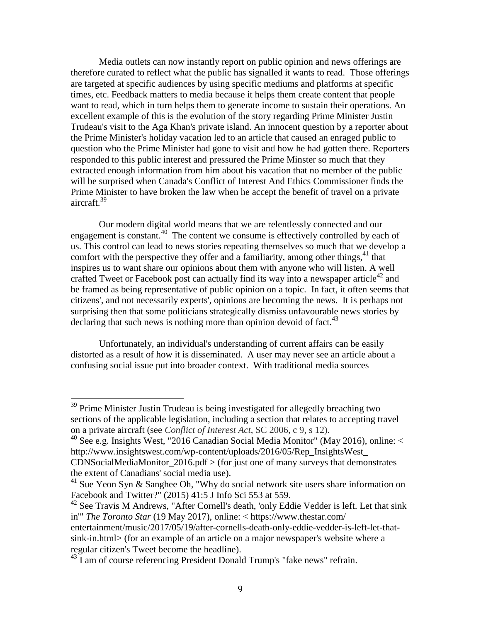Media outlets can now instantly report on public opinion and news offerings are therefore curated to reflect what the public has signalled it wants to read. Those offerings are targeted at specific audiences by using specific mediums and platforms at specific times, etc. Feedback matters to media because it helps them create content that people want to read, which in turn helps them to generate income to sustain their operations. An excellent example of this is the evolution of the story regarding Prime Minister Justin Trudeau's visit to the Aga Khan's private island. An innocent question by a reporter about the Prime Minister's holiday vacation led to an article that caused an enraged public to question who the Prime Minister had gone to visit and how he had gotten there. Reporters responded to this public interest and pressured the Prime Minster so much that they extracted enough information from him about his vacation that no member of the public will be surprised when Canada's Conflict of Interest And Ethics Commissioner finds the Prime Minister to have broken the law when he accept the benefit of travel on a private aircraft. 39

Our modern digital world means that we are relentlessly connected and our engagement is constant.<sup>40</sup> The content we consume is effectively controlled by each of us. This control can lead to news stories repeating themselves so much that we develop a comfort with the perspective they offer and a familiarity, among other things,  $41$  that inspires us to want share our opinions about them with anyone who will listen. A well crafted Tweet or Facebook post can actually find its way into a newspaper article<sup>42</sup> and be framed as being representative of public opinion on a topic. In fact, it often seems that citizens', and not necessarily experts', opinions are becoming the news. It is perhaps not surprising then that some politicians strategically dismiss unfavourable news stories by declaring that such news is nothing more than opinion devoid of fact.<sup>43</sup>

Unfortunately, an individual's understanding of current affairs can be easily distorted as a result of how it is disseminated. A user may never see an article about a confusing social issue put into broader context. With traditional media sources

 $39$  Prime Minister Justin Trudeau is being investigated for allegedly breaching two sections of the applicable legislation, including a section that relates to accepting travel on a private aircraft (see *Conflict of Interest Act*, SC 2006, c 9, s 12).

<sup>&</sup>lt;sup>40</sup> See e.g. Insights West, "2016 Canadian Social Media Monitor" (May 2016), online: < http://www.insightswest.com/wp-content/uploads/2016/05/Rep\_InsightsWest\_  $CDNSocialMedianMonitor_2016.pdf$  > (for just one of many surveys that demonstrates

the extent of Canadians' social media use).

 $41$  Sue Yeon Syn & Sanghee Oh, "Why do social network site users share information on Facebook and Twitter?" (2015) 41:5 J Info Sci 553 at 559.

 $42$  See Travis M Andrews, "After Cornell's death, 'only Eddie Vedder is left. Let that sink in'" *The Toronto Star* (19 May 2017), online: < https://www.thestar.com/ entertainment/music/2017/05/19/after-cornells-death-only-eddie-vedder-is-left-let-thatsink-in.html> (for an example of an article on a major newspaper's website where a regular citizen's Tweet become the headline).

<sup>&</sup>lt;sup>43</sup> I am of course referencing President Donald Trump's "fake news" refrain.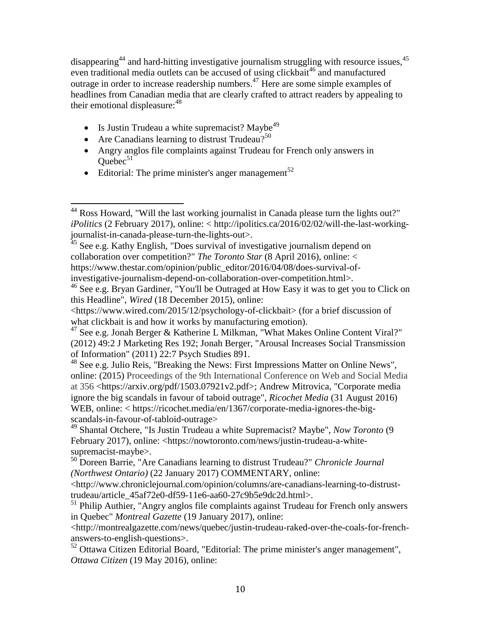disappearing<sup>44</sup> and hard-hitting investigative journalism struggling with resource issues,<sup>45</sup> even traditional media outlets can be accused of using clickbait<sup>46</sup> and manufactured outrage in order to increase readership numbers.<sup>47</sup> Here are some simple examples of headlines from Canadian media that are clearly crafted to attract readers by appealing to their emotional displeasure:<sup>48</sup>

- Is Justin Trudeau a white supremacist? Maybe<sup>49</sup>
- Are Canadians learning to distrust Trudeau?<sup>50</sup>
- Angry anglos file complaints against Trudeau for French only answers in  $Quebec<sup>51</sup>$
- Editorial: The prime minister's anger management<sup>52</sup>

 $^{48}$  See e.g. Julio Reis, "Breaking the News: First Impressions Matter on Online News", online: (2015) Proceedings of the 9th International Conference on Web and Social Media at 356 <https://arxiv.org/pdf/1503.07921v2.pdf>; Andrew Mitrovica, "Corporate media ignore the big scandals in favour of taboid outrage", *Ricochet Media* (31 August 2016) WEB, online: < https://ricochet.media/en/1367/corporate-media-ignores-the-bigscandals-in-favour-of-tabloid-outrage>

 $\overline{\phantom{a}}$ <sup>44</sup> Ross Howard, "Will the last working journalist in Canada please turn the lights out?" *iPolitics* (2 February 2017), online: < http://ipolitics.ca/2016/02/02/will-the-last-workingjournalist-in-canada-please-turn-the-lights-out>.

 $45$  See e.g. Kathy English, "Does survival of investigative journalism depend on collaboration over competition?" *The Toronto Star* (8 April 2016), online: < https://www.thestar.com/opinion/public\_editor/2016/04/08/does-survival-ofinvestigative-journalism-depend-on-collaboration-over-competition.html>.

<sup>&</sup>lt;sup>46</sup> See e.g. Bryan Gardiner, "You'll be Outraged at How Easy it was to get you to Click on this Headline", *Wired* (18 December 2015), online:

<sup>&</sup>lt;https://www.wired.com/2015/12/psychology-of-clickbait> (for a brief discussion of what clickbait is and how it works by manufacturing emotion).

<sup>&</sup>lt;sup>47</sup> See e.g. Jonah Berger & Katherine L Milkman, "What Makes Online Content Viral?" (2012) 49:2 J Marketing Res 192; Jonah Berger, "Arousal Increases Social Transmission of Information" (2011) 22:7 Psych Studies 891.

<sup>49</sup> Shantal Otchere, "Is Justin Trudeau a white Supremacist? Maybe", *Now Toronto* (9 February 2017), online: <https://nowtoronto.com/news/justin-trudeau-a-whitesupremacist-maybe>.

<sup>50</sup> Doreen Barrie, "Are Canadians learning to distrust Trudeau?" *Chronicle Journal (Northwest Ontario)* (22 January 2017) COMMENTARY, online:

<sup>&</sup>lt;http://www.chroniclejournal.com/opinion/columns/are-canadians-learning-to-distrusttrudeau/article\_45af72e0-df59-11e6-aa60-27c9b5e9dc2d.html>.

<sup>&</sup>lt;sup>51</sup> Philip Authier, "Angry anglos file complaints against Trudeau for French only answers in Quebec" *Montreal Gazette* (19 January 2017), online:

<sup>&</sup>lt;http://montrealgazette.com/news/quebec/justin-trudeau-raked-over-the-coals-for-frenchanswers-to-english-questions>.

<sup>&</sup>lt;sup>52</sup> Ottawa Citizen Editorial Board, "Editorial: The prime minister's anger management", *Ottawa Citizen* (19 May 2016), online: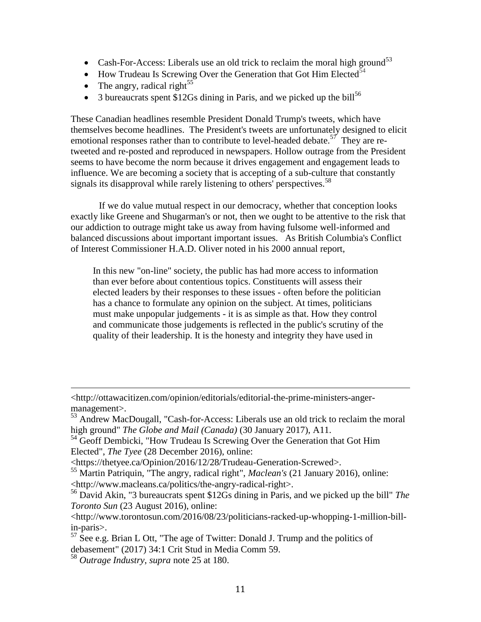- Cash-For-Access: Liberals use an old trick to reclaim the moral high ground<sup>53</sup>
- $\bullet$  How Trudeau Is Screwing Over the Generation that Got Him Elected<sup>54</sup>
- The angry, radical right<sup>55</sup>
- $\bullet$  3 bureaucrats spent \$12Gs dining in Paris, and we picked up the bill<sup>56</sup>

These Canadian headlines resemble President Donald Trump's tweets, which have themselves become headlines. The President's tweets are unfortunately designed to elicit emotional responses rather than to contribute to level-headed debate.<sup>57</sup> They are retweeted and re-posted and reproduced in newspapers. Hollow outrage from the President seems to have become the norm because it drives engagement and engagement leads to influence. We are becoming a society that is accepting of a sub-culture that constantly signals its disapproval while rarely listening to others' perspectives.<sup>58</sup>

If we do value mutual respect in our democracy, whether that conception looks exactly like Greene and Shugarman's or not, then we ought to be attentive to the risk that our addiction to outrage might take us away from having fulsome well-informed and balanced discussions about important important issues. As British Columbia's Conflict of Interest Commissioner H.A.D. Oliver noted in his 2000 annual report,

In this new "on-line" society, the public has had more access to information than ever before about contentious topics. Constituents will assess their elected leaders by their responses to these issues - often before the politician has a chance to formulate any opinion on the subject. At times, politicians must make unpopular judgements - it is as simple as that. How they control and communicate those judgements is reflected in the public's scrutiny of the quality of their leadership. It is the honesty and integrity they have used in

<sup>&</sup>lt;http://ottawacitizen.com/opinion/editorials/editorial-the-prime-ministers-angermanagement>.

<sup>53</sup> Andrew MacDougall, "Cash-for-Access: Liberals use an old trick to reclaim the moral high ground" *The Globe and Mail (Canada)* (30 January 2017), A11.

<sup>&</sup>lt;sup>54</sup> Geoff Dembicki, "How Trudeau Is Screwing Over the Generation that Got Him Elected", *The Tyee* (28 December 2016), online:

<sup>&</sup>lt;https://thetyee.ca/Opinion/2016/12/28/Trudeau-Generation-Screwed>.

<sup>55</sup> Martin Patriquin, "The angry, radical right", *Maclean's* (21 January 2016), online: <http://www.macleans.ca/politics/the-angry-radical-right>.

<sup>56</sup> David Akin, "3 bureaucrats spent \$12Gs dining in Paris, and we picked up the bill" *The Toronto Sun* (23 August 2016), online:

<sup>&</sup>lt;http://www.torontosun.com/2016/08/23/politicians-racked-up-whopping-1-million-billin-paris>.

 $57$  See e.g. Brian L Ott, "The age of Twitter: Donald J. Trump and the politics of debasement" (2017) 34:1 Crit Stud in Media Comm 59.

<sup>58</sup> *Outrage Industry*, *supra* note [25](#page-5-0) at 180.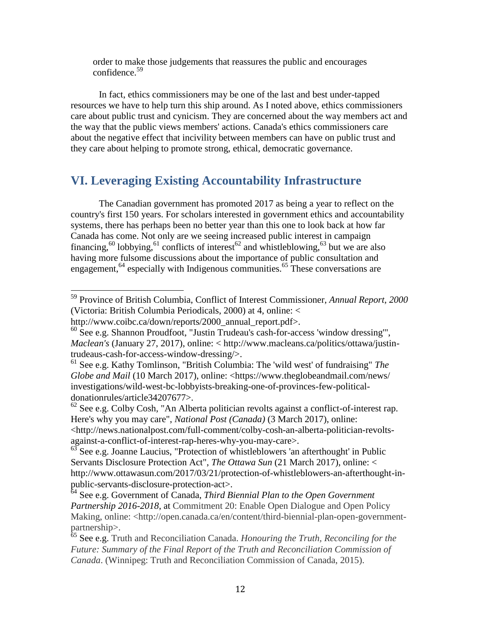order to make those judgements that reassures the public and encourages confidence.<sup>59</sup>

In fact, ethics commissioners may be one of the last and best under-tapped resources we have to help turn this ship around. As I noted above, ethics commissioners care about public trust and cynicism. They are concerned about the way members act and the way that the public views members' actions. Canada's ethics commissioners care about the negative effect that incivility between members can have on public trust and they care about helping to promote strong, ethical, democratic governance.

## **VI. Leveraging Existing Accountability Infrastructure**

The Canadian government has promoted 2017 as being a year to reflect on the country's first 150 years. For scholars interested in government ethics and accountability systems, there has perhaps been no better year than this one to look back at how far Canada has come. Not only are we seeing increased public interest in campaign financing,  $60$  lobbying,  $61$  conflicts of interest  $62$  and whistleblowing,  $63$  but we are also having more fulsome discussions about the importance of public consultation and engagement,  $64$  especially with Indigenous communities.  $65$  These conversations are

<sup>59</sup> Province of British Columbia, Conflict of Interest Commissioner, *Annual Report, 2000*  (Victoria: British Columbia Periodicals, 2000) at 4, online: <

http://www.coibc.ca/down/reports/2000\_annual\_report.pdf>.

<sup>60</sup> See e.g. Shannon Proudfoot, "Justin Trudeau's cash-for-access 'window dressing'", *Maclean's* (January 27, 2017), online: < http://www.macleans.ca/politics/ottawa/justintrudeaus-cash-for-access-window-dressing/>.

<sup>61</sup> See e.g. Kathy Tomlinson, "British Columbia: The 'wild west' of fundraising" *The Globe and Mail* (10 March 2017), online: <https://www.theglobeandmail.com/news/ investigations/wild-west-bc-lobbyists-breaking-one-of-provinces-few-politicaldonationrules/article34207677>.

 $62$  See e.g. Colby Cosh, "An Alberta politician revolts against a conflict-of-interest rap. Here's why you may care", *National Post (Canada)* (3 March 2017), online: <http://news.nationalpost.com/full-comment/colby-cosh-an-alberta-politician-revoltsagainst-a-conflict-of-interest-rap-heres-why-you-may-care>.

 $63$  See e.g. Joanne Laucius, "Protection of whistleblowers 'an afterthought' in Public Servants Disclosure Protection Act", *The Ottawa Sun* (21 March 2017), online: < http://www.ottawasun.com/2017/03/21/protection-of-whistleblowers-an-afterthought-inpublic-servants-disclosure-protection-act>.

<sup>64</sup> See e.g. Government of Canada, *Third Biennial Plan to the Open Government Partnership 2016-2018*, at Commitment 20: Enable Open Dialogue and Open Policy Making, online: <http://open.canada.ca/en/content/third-biennial-plan-open-governmentpartnership>.

<sup>65</sup> See e.g. Truth and Reconciliation Canada. *Honouring the Truth, Reconciling for the Future: Summary of the Final Report of the Truth and Reconciliation Commission of Canada*. (Winnipeg: Truth and Reconciliation Commission of Canada, 2015).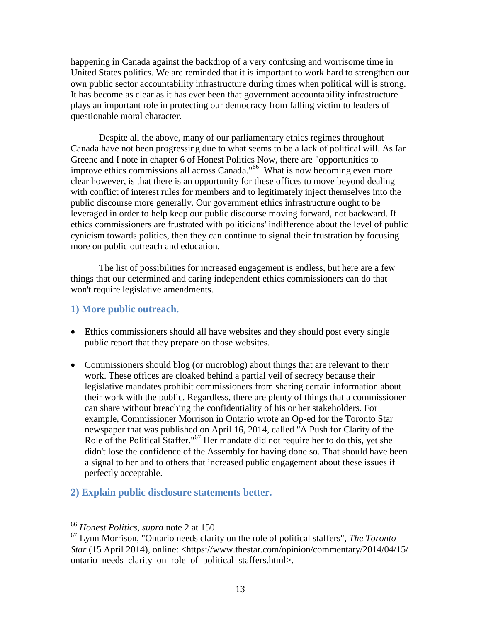happening in Canada against the backdrop of a very confusing and worrisome time in United States politics. We are reminded that it is important to work hard to strengthen our own public sector accountability infrastructure during times when political will is strong. It has become as clear as it has ever been that government accountability infrastructure plays an important role in protecting our democracy from falling victim to leaders of questionable moral character.

Despite all the above, many of our parliamentary ethics regimes throughout Canada have not been progressing due to what seems to be a lack of political will. As Ian Greene and I note in chapter 6 of Honest Politics Now, there are "opportunities to improve ethics commissions all across Canada."<sup>66</sup> What is now becoming even more clear however, is that there is an opportunity for these offices to move beyond dealing with conflict of interest rules for members and to legitimately inject themselves into the public discourse more generally. Our government ethics infrastructure ought to be leveraged in order to help keep our public discourse moving forward, not backward. If ethics commissioners are frustrated with politicians' indifference about the level of public cynicism towards politics, then they can continue to signal their frustration by focusing more on public outreach and education.

The list of possibilities for increased engagement is endless, but here are a few things that our determined and caring independent ethics commissioners can do that won't require legislative amendments.

### **1) More public outreach.**

- Ethics commissioners should all have websites and they should post every single public report that they prepare on those websites.
- Commissioners should blog (or microblog) about things that are relevant to their work. These offices are cloaked behind a partial veil of secrecy because their legislative mandates prohibit commissioners from sharing certain information about their work with the public. Regardless, there are plenty of things that a commissioner can share without breaching the confidentiality of his or her stakeholders. For example, Commissioner Morrison in Ontario wrote an Op-ed for the Toronto Star newspaper that was published on April 16, 2014, called "A Push for Clarity of the Role of the Political Staffer."<sup>67</sup> Her mandate did not require her to do this, yet she didn't lose the confidence of the Assembly for having done so. That should have been a signal to her and to others that increased public engagement about these issues if perfectly acceptable.
- <span id="page-12-0"></span>**2) Explain public disclosure statements better.**

<sup>66</sup> *Honest Politics*, *supra* note [2](#page-1-0) at 150.

<sup>67</sup> Lynn Morrison, "Ontario needs clarity on the role of political staffers", *The Toronto Star* (15 April 2014), online: <https://www.thestar.com/opinion/commentary/2014/04/15/ ontario needs clarity on role of political staffers.html>.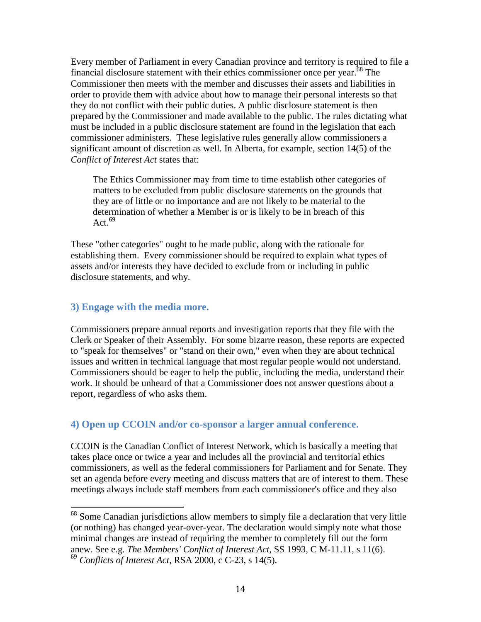Every member of Parliament in every Canadian province and territory is required to file a financial disclosure statement with their ethics commissioner once per year.<sup> $68$ </sup> The Commissioner then meets with the member and discusses their assets and liabilities in order to provide them with advice about how to manage their personal interests so that they do not conflict with their public duties. A public disclosure statement is then prepared by the Commissioner and made available to the public. The rules dictating what must be included in a public disclosure statement are found in the legislation that each commissioner administers. These legislative rules generally allow commissioners a significant amount of discretion as well. In Alberta, for example, section 14(5) of the *Conflict of Interest Act* states that:

The Ethics Commissioner may from time to time establish other categories of matters to be excluded from public disclosure statements on the grounds that they are of little or no importance and are not likely to be material to the determination of whether a Member is or is likely to be in breach of this Act. $69$ 

These "other categories" ought to be made public, along with the rationale for establishing them. Every commissioner should be required to explain what types of assets and/or interests they have decided to exclude from or including in public disclosure statements, and why.

#### **3) Engage with the media more.**

 $\overline{\phantom{a}}$ 

Commissioners prepare annual reports and investigation reports that they file with the Clerk or Speaker of their Assembly. For some bizarre reason, these reports are expected to "speak for themselves" or "stand on their own," even when they are about technical issues and written in technical language that most regular people would not understand. Commissioners should be eager to help the public, including the media, understand their work. It should be unheard of that a Commissioner does not answer questions about a report, regardless of who asks them.

#### **4) Open up CCOIN and/or co-sponsor a larger annual conference.**

CCOIN is the Canadian Conflict of Interest Network, which is basically a meeting that takes place once or twice a year and includes all the provincial and territorial ethics commissioners, as well as the federal commissioners for Parliament and for Senate. They set an agenda before every meeting and discuss matters that are of interest to them. These meetings always include staff members from each commissioner's office and they also

 $68$  Some Canadian jurisdictions allow members to simply file a declaration that very little (or nothing) has changed year-over-year. The declaration would simply note what those minimal changes are instead of requiring the member to completely fill out the form anew. See e.g. *The Members' Conflict of Interest Act*, SS 1993, C M-11.11, s 11(6). <sup>69</sup> *Conflicts of Interest Act*, RSA 2000, c C-23, s 14(5).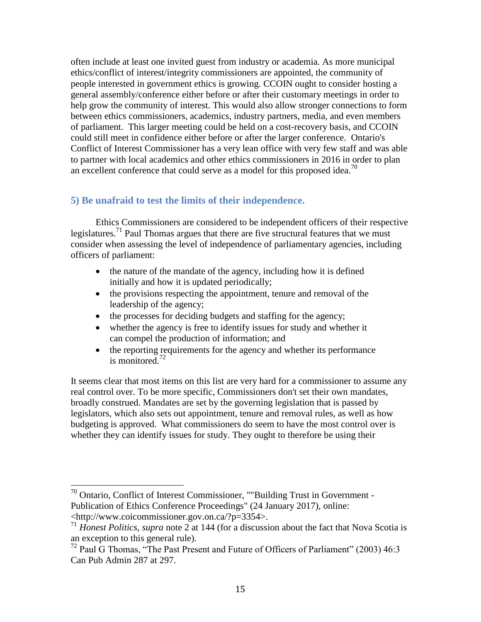often include at least one invited guest from industry or academia. As more municipal ethics/conflict of interest/integrity commissioners are appointed, the community of people interested in government ethics is growing. CCOIN ought to consider hosting a general assembly/conference either before or after their customary meetings in order to help grow the community of interest. This would also allow stronger connections to form between ethics commissioners, academics, industry partners, media, and even members of parliament. This larger meeting could be held on a cost-recovery basis, and CCOIN could still meet in confidence either before or after the larger conference. Ontario's Conflict of Interest Commissioner has a very lean office with very few staff and was able to partner with local academics and other ethics commissioners in 2016 in order to plan an excellent conference that could serve as a model for this proposed idea.<sup>70</sup>

#### **5) Be unafraid to test the limits of their independence.**

Ethics Commissioners are considered to be independent officers of their respective legislatures.<sup>71</sup> Paul Thomas argues that there are five structural features that we must consider when assessing the level of independence of parliamentary agencies, including officers of parliament:

- the nature of the mandate of the agency, including how it is defined initially and how it is updated periodically;
- the provisions respecting the appointment, tenure and removal of the leadership of the agency;
- the processes for deciding budgets and staffing for the agency;
- whether the agency is free to identify issues for study and whether it can compel the production of information; and
- the reporting requirements for the agency and whether its performance is monitored.<sup>72</sup>

It seems clear that most items on this list are very hard for a commissioner to assume any real control over. To be more specific, Commissioners don't set their own mandates, broadly construed. Mandates are set by the governing legislation that is passed by legislators, which also sets out appointment, tenure and removal rules, as well as how budgeting is approved. What commissioners do seem to have the most control over is whether they can identify issues for study. They ought to therefore be using their

 $70$  Ontario, Conflict of Interest Commissioner, ""Building Trust in Government -Publication of Ethics Conference Proceedings" (24 January 2017), online: <http://www.coicommissioner.gov.on.ca/?p=3354>.

<sup>&</sup>lt;sup>71</sup> *Honest Politics, supra* note [2](#page-1-0) at 144 (for a discussion about the fact that Nova Scotia is an exception to this general rule).

<sup>72</sup> Paul G Thomas, "The Past Present and Future of Officers of Parliament" (2003) 46:3 Can Pub Admin 287 at 297.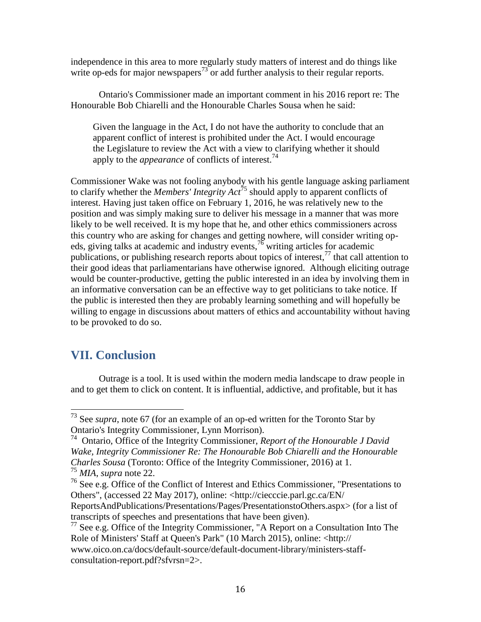independence in this area to more regularly study matters of interest and do things like write op-eds for major newspapers<sup>73</sup> or add further analysis to their regular reports.

Ontario's Commissioner made an important comment in his 2016 report re: The Honourable Bob Chiarelli and the Honourable Charles Sousa when he said:

Given the language in the Act, I do not have the authority to conclude that an apparent conflict of interest is prohibited under the Act. I would encourage the Legislature to review the Act with a view to clarifying whether it should apply to the *appearance* of conflicts of interest.<sup>74</sup>

Commissioner Wake was not fooling anybody with his gentle language asking parliament to clarify whether the *Members' Integrity Act*<sup>75</sup> should apply to apparent conflicts of interest. Having just taken office on February 1, 2016, he was relatively new to the position and was simply making sure to deliver his message in a manner that was more likely to be well received. It is my hope that he, and other ethics commissioners across this country who are asking for changes and getting nowhere, will consider writing opeds, giving talks at academic and industry events,  $^{76}$  writing articles for academic publications, or publishing research reports about topics of interest,  $\frac{1}{2}$  that call attention to their good ideas that parliamentarians have otherwise ignored. Although eliciting outrage would be counter-productive, getting the public interested in an idea by involving them in an informative conversation can be an effective way to get politicians to take notice. If the public is interested then they are probably learning something and will hopefully be willing to engage in discussions about matters of ethics and accountability without having to be provoked to do so.

# **VII. Conclusion**

 $\overline{\phantom{a}}$ 

Outrage is a tool. It is used within the modern media landscape to draw people in and to get them to click on content. It is influential, addictive, and profitable, but it has

<sup>73</sup> See *supra*, note [67](#page-12-0) (for an example of an op-ed written for the Toronto Star by Ontario's Integrity Commissioner, Lynn Morrison).

<sup>74</sup> Ontario, Office of the Integrity Commissioner, *Report of the Honourable J David Wake, Integrity Commissioner Re: The Honourable Bob Chiarelli and the Honourable Charles Sousa* (Toronto: Office of the Integrity Commissioner, 2016) at 1. <sup>75</sup> *MIA*, *supra* note [22.](#page-4-1)

 $76$  See e.g. Office of the Conflict of Interest and Ethics Commissioner, "Presentations to Others", (accessed 22 May 2017), online: <http://ciecccie.parl.gc.ca/EN/

ReportsAndPublications/Presentations/Pages/PresentationstoOthers.aspx> (for a list of transcripts of speeches and presentations that have been given).

<sup>77</sup> See e.g. Office of the Integrity Commissioner, "A Report on a Consultation Into The Role of Ministers' Staff at Queen's Park" (10 March 2015), online: <http://

www.oico.on.ca/docs/default-source/default-document-library/ministers-staffconsultation-report.pdf?sfvrsn=2>.